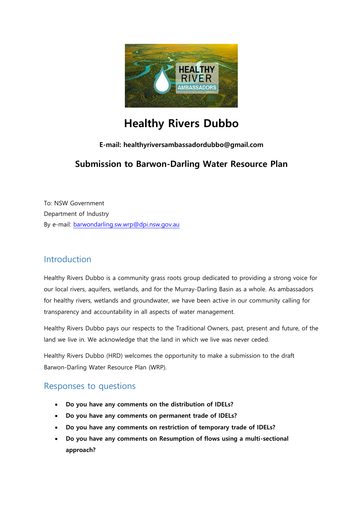

# **Healthy Rivers Dubbo**

### **E-mail: healthyriversambassadordubbo@gmail.com**

# **Submission to Barwon-Darling Water Resource Plan**

To: NSW Government Department of Industry By e-mail: [barwondarling.sw.wrp@dpi.nsw.gov.au](mailto:barwondarling.sw.wrp@dpi.nsw.gov.au)

# Introduction

Healthy Rivers Dubbo is a community grass roots group dedicated to providing a strong voice for our local rivers, aquifers, wetlands, and for the Murray-Darling Basin as a whole. As ambassadors for healthy rivers, wetlands and groundwater, we have been active in our community calling for transparency and accountability in all aspects of water management.

Healthy Rivers Dubbo pays our respects to the Traditional Owners, past, present and future, of the land we live in. We acknowledge that the land in which we live was never ceded.

Healthy Rivers Dubbo (HRD) welcomes the opportunity to make a submission to the draft Barwon-Darling Water Resource Plan (WRP).

# Responses to questions

- **Do you have any comments on the distribution of IDELs?**
- **Do you have any comments on permanent trade of IDELs?**
- **Do you have any comments on restriction of temporary trade of IDELs?**
- **Do you have any comments on Resumption of flows using a multi-sectional approach?**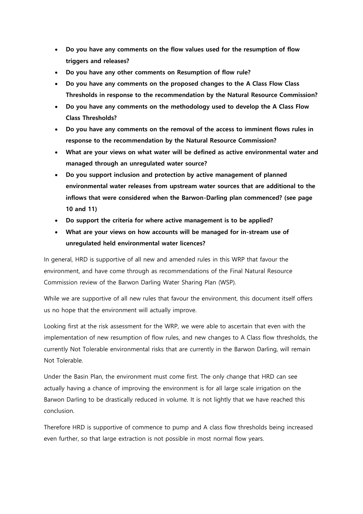- **Do you have any comments on the flow values used for the resumption of flow triggers and releases?**
- **Do you have any other comments on Resumption of flow rule?**
- **Do you have any comments on the proposed changes to the A Class Flow Class Thresholds in response to the recommendation by the Natural Resource Commission?**
- **Do you have any comments on the methodology used to develop the A Class Flow Class Thresholds?**
- **Do you have any comments on the removal of the access to imminent flows rules in response to the recommendation by the Natural Resource Commission?**
- **What are your views on what water will be defined as active environmental water and managed through an unregulated water source?**
- **Do you support inclusion and protection by active management of planned environmental water releases from upstream water sources that are additional to the inflows that were considered when the Barwon-Darling plan commenced? (see page 10 and 11)**
- **Do support the criteria for where active management is to be applied?**
- **What are your views on how accounts will be managed for in-stream use of unregulated held environmental water licences?**

In general, HRD is supportive of all new and amended rules in this WRP that favour the environment, and have come through as recommendations of the Final Natural Resource Commission review of the Barwon Darling Water Sharing Plan (WSP).

While we are supportive of all new rules that favour the environment, this document itself offers us no hope that the environment will actually improve.

Looking first at the risk assessment for the WRP, we were able to ascertain that even with the implementation of new resumption of flow rules, and new changes to A Class flow thresholds, the currently Not Tolerable environmental risks that are currently in the Barwon Darling, will remain Not Tolerable.

Under the Basin Plan, the environment must come first. The only change that HRD can see actually having a chance of improving the environment is for all large scale irrigation on the Barwon Darling to be drastically reduced in volume. It is not lightly that we have reached this conclusion.

Therefore HRD is supportive of commence to pump and A class flow thresholds being increased even further, so that large extraction is not possible in most normal flow years.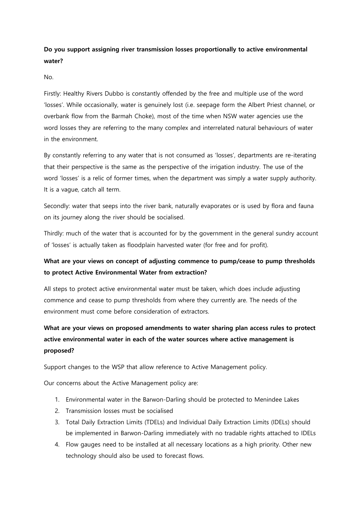# **Do you support assigning river transmission losses proportionally to active environmental water?**

No.

Firstly: Healthy Rivers Dubbo is constantly offended by the free and multiple use of the word 'losses'. While occasionally, water is genuinely lost (i.e. seepage form the Albert Priest channel, or overbank flow from the Barmah Choke), most of the time when NSW water agencies use the word losses they are referring to the many complex and interrelated natural behaviours of water in the environment.

By constantly referring to any water that is not consumed as 'losses', departments are re-iterating that their perspective is the same as the perspective of the irrigation industry. The use of the word 'losses' is a relic of former times, when the department was simply a water supply authority. It is a vague, catch all term.

Secondly: water that seeps into the river bank, naturally evaporates or is used by flora and fauna on its journey along the river should be socialised.

Thirdly: much of the water that is accounted for by the government in the general sundry account of 'losses' is actually taken as floodplain harvested water (for free and for profit).

# **What are your views on concept of adjusting commence to pump/cease to pump thresholds to protect Active Environmental Water from extraction?**

All steps to protect active environmental water must be taken, which does include adjusting commence and cease to pump thresholds from where they currently are. The needs of the environment must come before consideration of extractors.

# **What are your views on proposed amendments to water sharing plan access rules to protect active environmental water in each of the water sources where active management is proposed?**

Support changes to the WSP that allow reference to Active Management policy.

Our concerns about the Active Management policy are:

- 1. Environmental water in the Barwon-Darling should be protected to Menindee Lakes
- 2. Transmission losses must be socialised
- 3. Total Daily Extraction Limits (TDELs) and Individual Daily Extraction Limits (IDELs) should be implemented in Barwon-Darling immediately with no tradable rights attached to IDELs
- 4. Flow gauges need to be installed at all necessary locations as a high priority. Other new technology should also be used to forecast flows.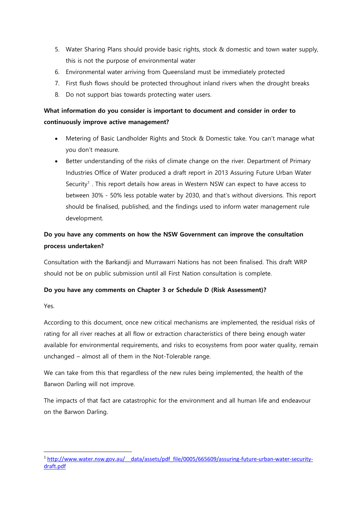- 5. Water Sharing Plans should provide basic rights, stock & domestic and town water supply, this is not the purpose of environmental water
- 6. Environmental water arriving from Queensland must be immediately protected
- 7. First flush flows should be protected throughout inland rivers when the drought breaks
- 8. Do not support bias towards protecting water users.

# **What information do you consider is important to document and consider in order to continuously improve active management?**

- Metering of Basic Landholder Rights and Stock & Domestic take. You can't manage what you don't measure.
- Better understanding of the risks of climate change on the river. Department of Primary Industries Office of Water produced a draft report in 2013 Assuring Future Urban Water Security<sup>1</sup>. This report details how areas in Western NSW can expect to have access to between 30% - 50% less potable water by 2030, and that's without diversions. This report should be finalised, published, and the findings used to inform water management rule development.

# **Do you have any comments on how the NSW Government can improve the consultation process undertaken?**

Consultation with the Barkandji and Murrawarri Nations has not been finalised. This draft WRP should not be on public submission until all First Nation consultation is complete.

#### **Do you have any comments on Chapter 3 or Schedule D (Risk Assessment)?**

Yes.

According to this document, once new critical mechanisms are implemented, the residual risks of rating for all river reaches at all flow or extraction characteristics of there being enough water available for environmental requirements, and risks to ecosystems from poor water quality, remain unchanged – almost all of them in the Not-Tolerable range.

We can take from this that regardless of the new rules being implemented, the health of the Barwon Darling will not improve.

The impacts of that fact are catastrophic for the environment and all human life and endeavour on the Barwon Darling.

**<sup>.</sup>** <sup>1</sup> [http://www.water.nsw.gov.au/\\_\\_data/assets/pdf\\_file/0005/665609/assuring-future-urban-water-security](http://www.water.nsw.gov.au/__data/assets/pdf_file/0005/665609/assuring-future-urban-water-security-draft.pdf)[draft.pdf](http://www.water.nsw.gov.au/__data/assets/pdf_file/0005/665609/assuring-future-urban-water-security-draft.pdf)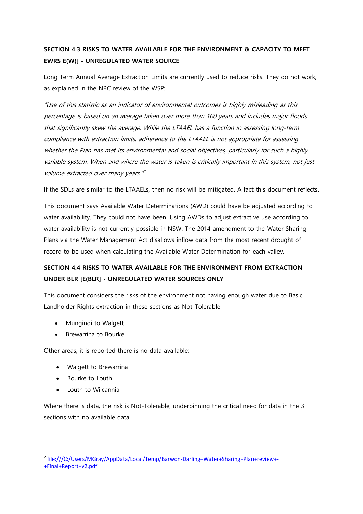# **SECTION 4.3 RISKS TO WATER AVAILABLE FOR THE ENVIRONMENT & CAPACITY TO MEET EWRS E(W)] - UNREGULATED WATER SOURCE**

Long Term Annual Average Extraction Limits are currently used to reduce risks. They do not work, as explained in the NRC review of the WSP:

"Use of this statistic as an indicator of environmental outcomes is highly misleading as this percentage is based on an average taken over more than 100 years and includes major floods that significantly skew the average. While the LTAAEL has a function in assessing long-term compliance with extraction limits, adherence to the LTAAEL is not appropriate for assessing whether the Plan has met its environmental and social objectives, particularly for such a highly variable system. When and where the water is taken is critically important in this system, not just volume extracted over many years."<sup>2</sup>

If the SDLs are similar to the LTAAELs, then no risk will be mitigated. A fact this document reflects.

This document says Available Water Determinations (AWD) could have be adjusted according to water availability. They could not have been. Using AWDs to adjust extractive use according to water availability is not currently possible in NSW. The 2014 amendment to the Water Sharing Plans via the Water Management Act disallows inflow data from the most recent drought of record to be used when calculating the Available Water Determination for each valley.

# **SECTION 4.4 RISKS TO WATER AVAILABLE FOR THE ENVIRONMENT FROM EXTRACTION UNDER BLR [E(BLR] - UNREGULATED WATER SOURCES ONLY**

This document considers the risks of the environment not having enough water due to Basic Landholder Rights extraction in these sections as Not-Tolerable:

- Mungindi to Walgett
- Brewarrina to Bourke

Other areas, it is reported there is no data available:

- Walgett to Brewarrina
- Bourke to Louth
- Louth to Wilcannia

Where there is data, the risk is Not-Tolerable, underpinning the critical need for data in the 3 sections with no available data.

**<sup>.</sup>** <sup>2</sup> [file:///C:/Users/MGray/AppData/Local/Temp/Barwon-Darling+Water+Sharing+Plan+review+-](file:///C:/Users/MGray/AppData/Local/Temp/Barwon-Darling+Water+Sharing+Plan+review+-+Final+Report+v2.pdf) [+Final+Report+v2.pdf](file:///C:/Users/MGray/AppData/Local/Temp/Barwon-Darling+Water+Sharing+Plan+review+-+Final+Report+v2.pdf)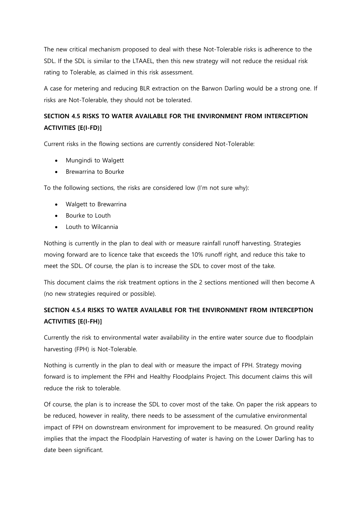The new critical mechanism proposed to deal with these Not-Tolerable risks is adherence to the SDL. If the SDL is similar to the LTAAEL, then this new strategy will not reduce the residual risk rating to Tolerable, as claimed in this risk assessment.

A case for metering and reducing BLR extraction on the Barwon Darling would be a strong one. If risks are Not-Tolerable, they should not be tolerated.

# **SECTION 4.5 RISKS TO WATER AVAILABLE FOR THE ENVIRONMENT FROM INTERCEPTION ACTIVITIES [E(I-FD)]**

Current risks in the flowing sections are currently considered Not-Tolerable:

- Mungindi to Walgett
- Brewarrina to Bourke

To the following sections, the risks are considered low (I'm not sure why):

- Walgett to Brewarrina
- Bourke to Louth
- Louth to Wilcannia

Nothing is currently in the plan to deal with or measure rainfall runoff harvesting. Strategies moving forward are to licence take that exceeds the 10% runoff right, and reduce this take to meet the SDL. Of course, the plan is to increase the SDL to cover most of the take.

This document claims the risk treatment options in the 2 sections mentioned will then become A (no new strategies required or possible).

### **SECTION 4.5.4 RISKS TO WATER AVAILABLE FOR THE ENVIRONMENT FROM INTERCEPTION ACTIVITIES [E(I-FH)]**

Currently the risk to environmental water availability in the entire water source due to floodplain harvesting (FPH) is Not-Tolerable.

Nothing is currently in the plan to deal with or measure the impact of FPH. Strategy moving forward is to implement the FPH and Healthy Floodplains Project. This document claims this will reduce the risk to tolerable.

Of course, the plan is to increase the SDL to cover most of the take. On paper the risk appears to be reduced, however in reality, there needs to be assessment of the cumulative environmental impact of FPH on downstream environment for improvement to be measured. On ground reality implies that the impact the Floodplain Harvesting of water is having on the Lower Darling has to date been significant.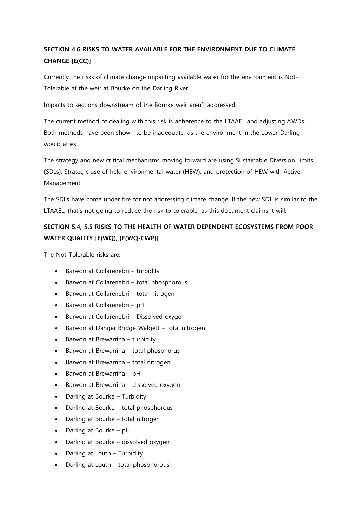# **SECTION 4.6 RISKS TO WATER AVAILABLE FOR THE ENVIRONMENT DUE TO CLIMATE CHANGE [E(CC)]**

Currently the risks of climate change impacting available water for the environment is Not-Tolerable at the weir at Bourke on the Darling River.

Impacts to sections downstream of the Bourke weir aren't addressed.

The current method of dealing with this risk is adherence to the LTAAEL and adjusting AWDs. Both methods have been shown to be inadequate, as the environment in the Lower Darling would attest.

The strategy and new critical mechanisms moving forward are using Sustainable Diversion Limits (SDLs), Strategic use of held environmental water (HEW), and protection of HEW with Active Management.

The SDLs have come under fire for not addressing climate change. If the new SDL is similar to the LTAAEL, that's not going to reduce the risk to tolerable, as this document claims it will.

# **SECTION 5.4, 5.5 RISKS TO THE HEALTH OF WATER DEPENDENT ECOSYSTEMS FROM POOR WATER QUALITY [E(WQ), (E(WQ-CWP)]**

The Not-Tolerable risks are:

- Barwon at Collarenebri turbidity
- Barwon at Collarenebri total phosphorous
- Barwon at Collarenebri total nitrogen
- Barwon at Collarenebri pH
- Barwon at Collarenebri Dissolved oxygen
- Barwon at Dangar Bridge Walgett total nitrogen
- $\bullet$  Barwon at Brewarrina turbidity
- Barwon at Brewarrina total phosphorus
- Barwon at Brewarrina total nitrogen
- $\bullet$  Barwon at Brewarrina pH
- Barwon at Brewarrina dissolved oxygen
- Darling at Bourke Turbidity
- Darling at Bourke total phosphorous
- Darling at Bourke total nitrogen
- Darling at Bourke pH
- Darling at Bourke dissolved oxygen
- Darling at Louth Turbidity
- Darling at Louth total phosphorous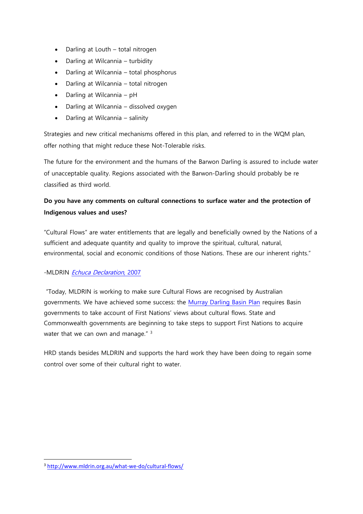- Darling at Louth total nitrogen
- Darling at Wilcannia turbidity
- Darling at Wilcannia total phosphorus
- Darling at Wilcannia total nitrogen
- Darling at Wilcannia pH
- Darling at Wilcannia dissolved oxygen
- Darling at Wilcannia salinity

Strategies and new critical mechanisms offered in this plan, and referred to in the WQM plan, offer nothing that might reduce these Not-Tolerable risks.

The future for the environment and the humans of the Barwon Darling is assured to include water of unacceptable quality. Regions associated with the Barwon-Darling should probably be re classified as third world.

### **Do you have any comments on cultural connections to surface water and the protection of Indigenous values and uses?**

"Cultural Flows" are water entitlements that are legally and beneficially owned by the Nations of a sufficient and adequate quantity and quality to improve the spiritual, cultural, natural, environmental, social and economic conditions of those Nations. These are our inherent rights."

#### -MLDRIN [Echuca Declaration](http://www.savanna.org.au/nailsma/publications/downloads/MLDRIN-NBAN-ECHUCA-DECLARATION-2009.pdf), 2007

"Today, MLDRIN is working to make sure Cultural Flows are recognised by Australian governments. We have achieved some success: the [Murray Darling Basin Plan](https://www.mdba.gov.au/basin-plan/whats-basin-plan) requires Basin governments to take account of First Nations' views about cultural flows. State and Commonwealth governments are beginning to take steps to support First Nations to acquire water that we can own and manage." <sup>3</sup>

HRD stands besides MLDRIN and supports the hard work they have been doing to regain some control over some of their cultural right to water.

**.** 

<sup>3</sup> <http://www.mldrin.org.au/what-we-do/cultural-flows/>